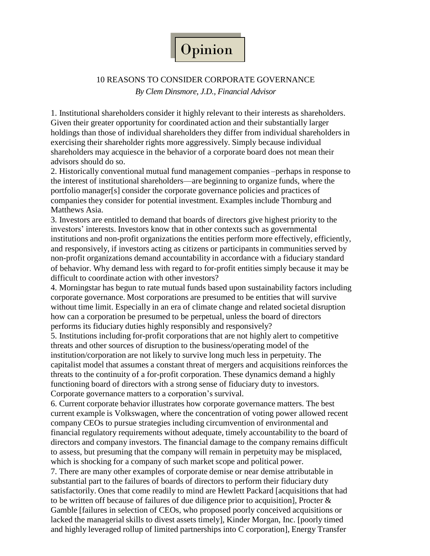

## 10 REASONS TO CONSIDER CORPORATE GOVERNANCE *By Clem Dinsmore, J.D., Financial Advisor*

1. Institutional shareholders consider it highly relevant to their interests as shareholders. Given their greater opportunity for coordinated action and their substantially larger holdings than those of individual shareholders they differ from individual shareholders in exercising their shareholder rights more aggressively. Simply because individual shareholders may acquiesce in the behavior of a corporate board does not mean their advisors should do so.

2. Historically conventional mutual fund management companies –perhaps in response to the interest of institutional shareholders—are beginning to organize funds, where the portfolio manager[s] consider the corporate governance policies and practices of companies they consider for potential investment. Examples include Thornburg and Matthews Asia.

3. Investors are entitled to demand that boards of directors give highest priority to the investors' interests. Investors know that in other contexts such as governmental institutions and non-profit organizations the entities perform more effectively, efficiently, and responsively, if investors acting as citizens or participants in communities served by non-profit organizations demand accountability in accordance with a fiduciary standard of behavior. Why demand less with regard to for-profit entities simply because it may be difficult to coordinate action with other investors?

4. Morningstar has begun to rate mutual funds based upon sustainability factors including corporate governance. Most corporations are presumed to be entities that will survive without time limit. Especially in an era of climate change and related societal disruption how can a corporation be presumed to be perpetual, unless the board of directors performs its fiduciary duties highly responsibly and responsively?

5. Institutions including for-profit corporations that are not highly alert to competitive threats and other sources of disruption to the business/operating model of the institution/corporation are not likely to survive long much less in perpetuity. The capitalist model that assumes a constant threat of mergers and acquisitions reinforces the threats to the continuity of a for-profit corporation. These dynamics demand a highly functioning board of directors with a strong sense of fiduciary duty to investors. Corporate governance matters to a corporation's survival.

6. Current corporate behavior illustrates how corporate governance matters. The best current example is Volkswagen, where the concentration of voting power allowed recent company CEOs to pursue strategies including circumvention of environmental and financial regulatory requirements without adequate, timely accountability to the board of directors and company investors. The financial damage to the company remains difficult to assess, but presuming that the company will remain in perpetuity may be misplaced, which is shocking for a company of such market scope and political power.

7. There are many other examples of corporate demise or near demise attributable in substantial part to the failures of boards of directors to perform their fiduciary duty satisfactorily. Ones that come readily to mind are Hewlett Packard [acquisitions that had to be written off because of failures of due diligence prior to acquisition], Procter & Gamble [failures in selection of CEOs, who proposed poorly conceived acquisitions or lacked the managerial skills to divest assets timely], Kinder Morgan, Inc. [poorly timed and highly leveraged rollup of limited partnerships into C corporation], Energy Transfer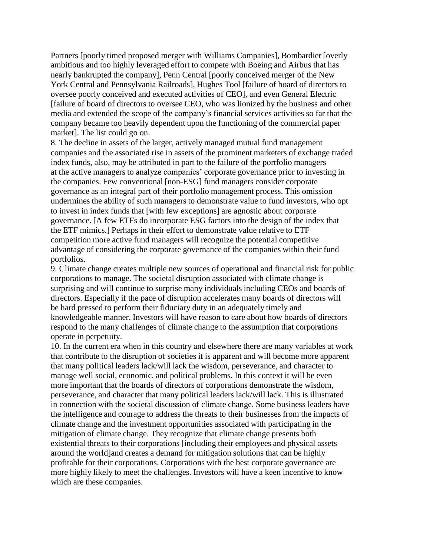Partners [poorly timed proposed merger with Williams Companies], Bombardier [overly ambitious and too highly leveraged effort to compete with Boeing and Airbus that has nearly bankrupted the company], Penn Central [poorly conceived merger of the New York Central and Pennsylvania Railroads], Hughes Tool [failure of board of directors to oversee poorly conceived and executed activities of CEO], and even General Electric [failure of board of directors to oversee CEO, who was lionized by the business and other media and extended the scope of the company's financial services activities so far that the company became too heavily dependent upon the functioning of the commercial paper market]. The list could go on.

8. The decline in assets of the larger, actively managed mutual fund management companies and the associated rise in assets of the prominent marketers of exchange traded index funds, also, may be attributed in part to the failure of the portfolio managers at the active managers to analyze companies' corporate governance prior to investing in the companies. Few conventional [non-ESG] fund managers consider corporate governance as an integral part of their portfolio management process. This omission undermines the ability of such managers to demonstrate value to fund investors, who opt to invest in index funds that [with few exceptions] are agnostic about corporate governance. [A few ETFs do incorporate ESG factors into the design of the index that the ETF mimics.] Perhaps in their effort to demonstrate value relative to ETF competition more active fund managers will recognize the potential competitive advantage of considering the corporate governance of the companies within their fund portfolios.

9. Climate change creates multiple new sources of operational and financial risk for public corporations to manage. The societal disruption associated with climate change is surprising and will continue to surprise many individuals including CEOs and boards of directors. Especially if the pace of disruption accelerates many boards of directors will be hard pressed to perform their fiduciary duty in an adequately timely and knowledgeable manner. Investors will have reason to care about how boards of directors respond to the many challenges of climate change to the assumption that corporations operate in perpetuity.

10. In the current era when in this country and elsewhere there are many variables at work that contribute to the disruption of societies it is apparent and will become more apparent that many political leaders lack/will lack the wisdom, perseverance, and character to manage well social, economic, and political problems. In this context it will be even more important that the boards of directors of corporations demonstrate the wisdom, perseverance, and character that many political leaders lack/will lack. This is illustrated in connection with the societal discussion of climate change. Some business leaders have the intelligence and courage to address the threats to their businesses from the impacts of climate change and the investment opportunities associated with participating in the mitigation of climate change. They recognize that climate change presents both existential threats to their corporations [including their employees and physical assets around the world]and creates a demand for mitigation solutions that can be highly profitable for their corporations. Corporations with the best corporate governance are more highly likely to meet the challenges. Investors will have a keen incentive to know which are these companies.